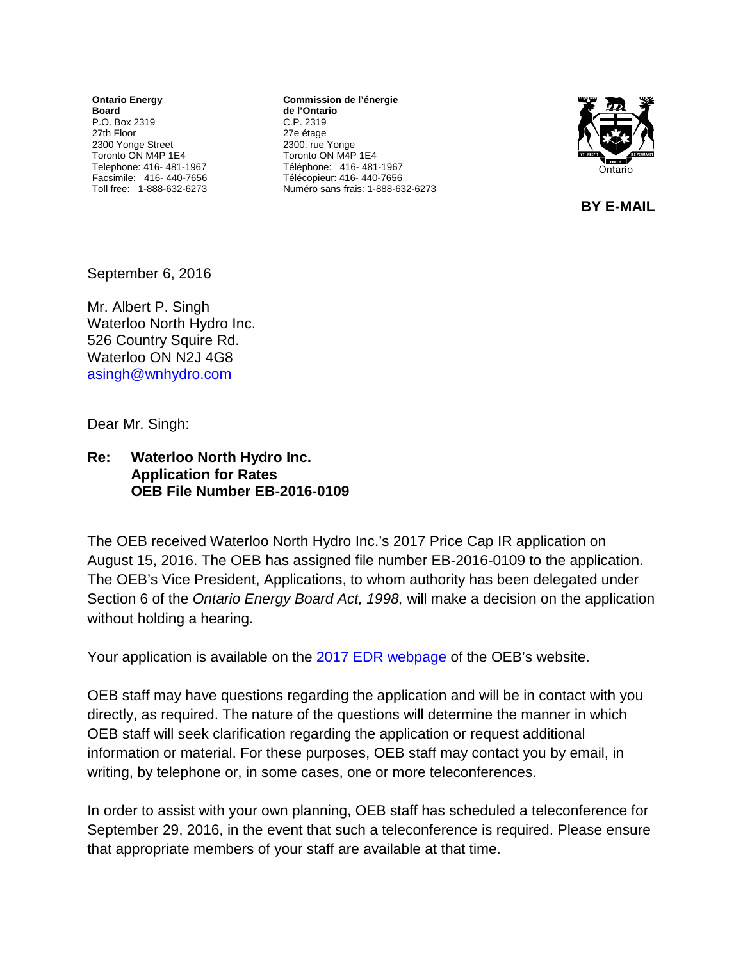**Ontario Energy Board** P.O. Box 2319 27th Floor 2300 Yonge Street Toronto ON M4P 1E4 Telephone: 416- 481-1967 Facsimile: 416- 440-7656 Toll free: 1-888-632-6273

**Commission de l'énergie de l'Ontario** C.P. 2319 27e étage 2300, rue Yonge Toronto ON M4P 1E4 Téléphone: 416- 481-1967 Télécopieur: 416- 440-7656 Numéro sans frais: 1-888-632-6273



 **BY E-MAIL** 

September 6, 2016

Mr. Albert P. Singh Waterloo North Hydro Inc. 526 Country Squire Rd. Waterloo ON N2J 4G8 [asingh@wnhydro.com](mailto:asingh@wnhydro.com)

Dear Mr. Singh:

## **Re: Waterloo North Hydro Inc. Application for Rates OEB File Number EB-2016-0109**

The OEB received Waterloo North Hydro Inc.'s 2017 Price Cap IR application on August 15, 2016. The OEB has assigned file number EB-2016-0109 to the application. The OEB's Vice President, Applications, to whom authority has been delegated under Section 6 of the *Ontario Energy Board Act, 1998,* will make a decision on the application without holding a hearing.

Your application is available on the 2017 [EDR webpage](http://www.ontarioenergyboard.ca/oeb/Industry/Regulatory%20Proceedings/Applications%20Before%20the%20Board/Electricity%20Distribution%20Rates/2017%20Electricity%20Distribution%20Rate%20Applications) of the OEB's website.

OEB staff may have questions regarding the application and will be in contact with you directly, as required. The nature of the questions will determine the manner in which OEB staff will seek clarification regarding the application or request additional information or material. For these purposes, OEB staff may contact you by email, in writing, by telephone or, in some cases, one or more teleconferences.

In order to assist with your own planning, OEB staff has scheduled a teleconference for September 29, 2016, in the event that such a teleconference is required. Please ensure that appropriate members of your staff are available at that time.